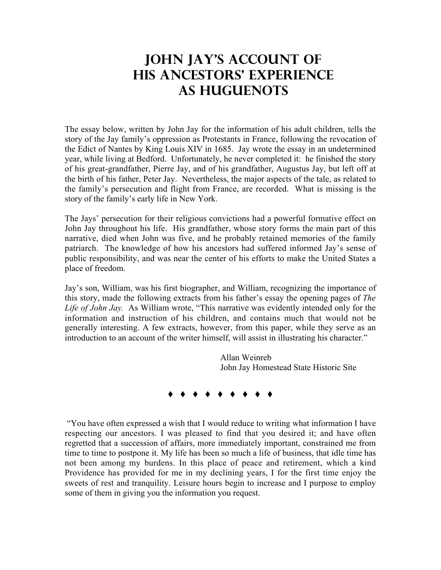## **John jay's account of his ancestors' experience as Huguenots**

The essay below, written by John Jay for the information of his adult children, tells the story of the Jay family's oppression as Protestants in France, following the revocation of the Edict of Nantes by King Louis XIV in 1685. Jay wrote the essay in an undetermined year, while living at Bedford. Unfortunately, he never completed it: he finished the story of his great-grandfather, Pierre Jay, and of his grandfather, Augustus Jay, but left off at the birth of his father, Peter Jay. Nevertheless, the major aspects of the tale, as related to the family's persecution and flight from France, are recorded. What is missing is the story of the family's early life in New York.

The Jays' persecution for their religious convictions had a powerful formative effect on John Jay throughout his life. His grandfather, whose story forms the main part of this narrative, died when John was five, and he probably retained memories of the family patriarch. The knowledge of how his ancestors had suffered informed Jay's sense of public responsibility, and was near the center of his efforts to make the United States a place of freedom.

Jay's son, William, was his first biographer, and William, recognizing the importance of this story, made the following extracts from his father's essay the opening pages of *The Life of John Jay.* As William wrote, "This narrative was evidently intended only for the information and instruction of his children, and contains much that would not be generally interesting. A few extracts, however, from this paper, while they serve as an introduction to an account of the writer himself, will assist in illustrating his character."

> Allan Weinreb John Jay Homestead State Historic Site



"You have often expressed a wish that I would reduce to writing what information I have respecting our ancestors. I was pleased to find that you desired it; and have often regretted that a succession of affairs, more immediately important, constrained me from time to time to postpone it. My life has been so much a life of business, that idle time has not been among my burdens. In this place of peace and retirement, which a kind Providence has provided for me in my declining years, I for the first time enjoy the sweets of rest and tranquility. Leisure hours begin to increase and I purpose to employ some of them in giving you the information you request.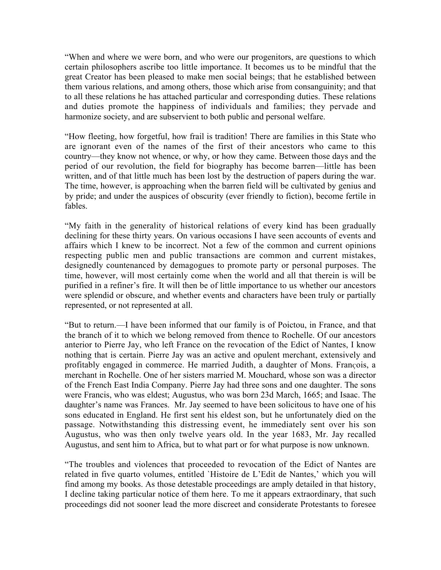"When and where we were born, and who were our progenitors, are questions to which certain philosophers ascribe too little importance. It becomes us to be mindful that the great Creator has been pleased to make men social beings; that he established between them various relations, and among others, those which arise from consanguinity; and that to all these relations he has attached particular and corresponding duties. These relations and duties promote the happiness of individuals and families; they pervade and harmonize society, and are subservient to both public and personal welfare.

"How fleeting, how forgetful, how frail is tradition! There are families in this State who are ignorant even of the names of the first of their ancestors who came to this country—they know not whence, or why, or how they came. Between those days and the period of our revolution, the field for biography has become barren—little has been written, and of that little much has been lost by the destruction of papers during the war. The time, however, is approaching when the barren field will be cultivated by genius and by pride; and under the auspices of obscurity (ever friendly to fiction), become fertile in fables.

"My faith in the generality of historical relations of every kind has been gradually declining for these thirty years. On various occasions I have seen accounts of events and affairs which I knew to be incorrect. Not a few of the common and current opinions respecting public men and public transactions are common and current mistakes, designedly countenanced by demagogues to promote party or personal purposes. The time, however, will most certainly come when the world and all that therein is will be purified in a refiner's fire. It will then be of little importance to us whether our ancestors were splendid or obscure, and whether events and characters have been truly or partially represented, or not represented at all.

"But to return.—I have been informed that our family is of Poictou, in France, and that the branch of it to which we belong removed from thence to Rochelle. Of our ancestors anterior to Pierre Jay, who left France on the revocation of the Edict of Nantes, I know nothing that is certain. Pierre Jay was an active and opulent merchant, extensively and profitably engaged in commerce. He married Judith, a daughter of Mons. François, a merchant in Rochelle. One of her sisters married M. Mouchard, whose son was a director of the French East India Company. Pierre Jay had three sons and one daughter. The sons were Francis, who was eldest; Augustus, who was born 23d March, 1665; and Isaac. The daughter's name was Frances. Mr. Jay seemed to have been solicitous to have one of his sons educated in England. He first sent his eldest son, but he unfortunately died on the passage. Notwithstanding this distressing event, he immediately sent over his son Augustus, who was then only twelve years old. In the year 1683, Mr. Jay recalled Augustus, and sent him to Africa, but to what part or for what purpose is now unknown.

"The troubles and violences that proceeded to revocation of the Edict of Nantes are related in five quarto volumes, entitled `Histoire de L'Edit de Nantes,' which you will find among my books. As those detestable proceedings are amply detailed in that history, I decline taking particular notice of them here. To me it appears extraordinary, that such proceedings did not sooner lead the more discreet and considerate Protestants to foresee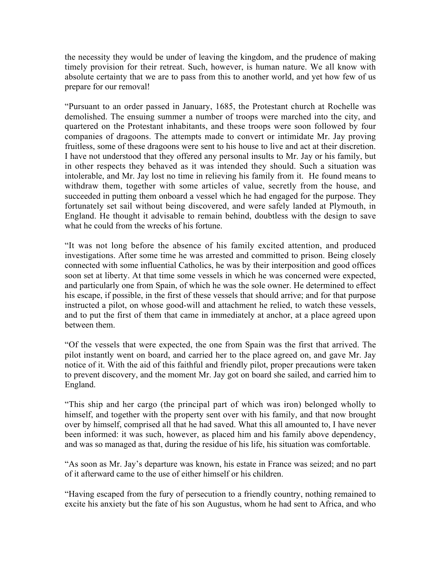the necessity they would be under of leaving the kingdom, and the prudence of making timely provision for their retreat. Such, however, is human nature. We all know with absolute certainty that we are to pass from this to another world, and yet how few of us prepare for our removal!

"Pursuant to an order passed in January, 1685, the Protestant church at Rochelle was demolished. The ensuing summer a number of troops were marched into the city, and quartered on the Protestant inhabitants, and these troops were soon followed by four companies of dragoons. The attempts made to convert or intimidate Mr. Jay proving fruitless, some of these dragoons were sent to his house to live and act at their discretion. I have not understood that they offered any personal insults to Mr. Jay or his family, but in other respects they behaved as it was intended they should. Such a situation was intolerable, and Mr. Jay lost no time in relieving his family from it. He found means to withdraw them, together with some articles of value, secretly from the house, and succeeded in putting them onboard a vessel which he had engaged for the purpose. They fortunately set sail without being discovered, and were safely landed at Plymouth, in England. He thought it advisable to remain behind, doubtless with the design to save what he could from the wrecks of his fortune.

"It was not long before the absence of his family excited attention, and produced investigations. After some time he was arrested and committed to prison. Being closely connected with some influential Catholics, he was by their interposition and good offices soon set at liberty. At that time some vessels in which he was concerned were expected, and particularly one from Spain, of which he was the sole owner. He determined to effect his escape, if possible, in the first of these vessels that should arrive; and for that purpose instructed a pilot, on whose good-will and attachment he relied, to watch these vessels, and to put the first of them that came in immediately at anchor, at a place agreed upon between them.

"Of the vessels that were expected, the one from Spain was the first that arrived. The pilot instantly went on board, and carried her to the place agreed on, and gave Mr. Jay notice of it. With the aid of this faithful and friendly pilot, proper precautions were taken to prevent discovery, and the moment Mr. Jay got on board she sailed, and carried him to England.

"This ship and her cargo (the principal part of which was iron) belonged wholly to himself, and together with the property sent over with his family, and that now brought over by himself, comprised all that he had saved. What this all amounted to, I have never been informed: it was such, however, as placed him and his family above dependency, and was so managed as that, during the residue of his life, his situation was comfortable.

"As soon as Mr. Jay's departure was known, his estate in France was seized; and no part of it afterward came to the use of either himself or his children.

"Having escaped from the fury of persecution to a friendly country, nothing remained to excite his anxiety but the fate of his son Augustus, whom he had sent to Africa, and who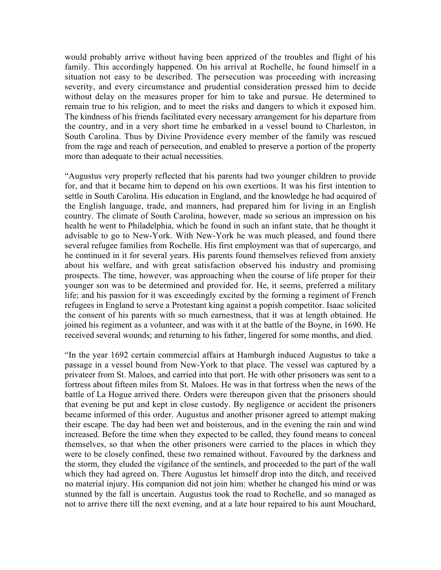would probably arrive without having been apprized of the troubles and flight of his family. This accordingly happened. On his arrival at Rochelle, he found himself in a situation not easy to be described. The persecution was proceeding with increasing severity, and every circumstance and prudential consideration pressed him to decide without delay on the measures proper for him to take and pursue. He determined to remain true to his religion, and to meet the risks and dangers to which it exposed him. The kindness of his friends facilitated every necessary arrangement for his departure from the country, and in a very short time he embarked in a vessel bound to Charleston, in South Carolina. Thus by Divine Providence every member of the family was rescued from the rage and reach of persecution, and enabled to preserve a portion of the property more than adequate to their actual necessities.

"Augustus very properly reflected that his parents had two younger children to provide for, and that it became him to depend on his own exertions. It was his first intention to settle in South Carolina. His education in England, and the knowledge he had acquired of the English language, trade, and manners, had prepared him for living in an English country. The climate of South Carolina, however, made so serious an impression on his health he went to Philadelphia, which he found in such an infant state, that he thought it advisable to go to New-York. With New-York he was much pleased, and found there several refugee families from Rochelle. His first employment was that of supercargo, and he continued in it for several years. His parents found themselves relieved from anxiety about his welfare, and with great satisfaction observed his industry and promising prospects. The time, however, was approaching when the course of life proper for their younger son was to be determined and provided for. He, it seems, preferred a military life; and his passion for it was exceedingly excited by the forming a regiment of French refugees in England to serve a Protestant king against a popish competitor. Isaac solicited the consent of his parents with so much earnestness, that it was at length obtained. He joined his regiment as a volunteer, and was with it at the battle of the Boyne, in 1690. He received several wounds; and returning to his father, lingered for some months, and died.

"In the year 1692 certain commercial affairs at Hamburgh induced Augustus to take a passage in a vessel bound from New-York to that place. The vessel was captured by a privateer from St. Maloes, and carried into that port. He with other prisoners was sent to a fortress about fifteen miles from St. Maloes. He was in that fortress when the news of the battle of La Hogue arrived there. Orders were thereupon given that the prisoners should that evening be put and kept in close custody. By negligence or accident the prisoners became informed of this order. Augustus and another prisoner agreed to attempt making their escape. The day had been wet and boisterous, and in the evening the rain and wind increased. Before the time when they expected to be called, they found means to conceal themselves, so that when the other prisoners were carried to the places in which they were to be closely confined, these two remained without. Favoured by the darkness and the storm, they eluded the vigilance of the sentinels, and proceeded to the part of the wall which they had agreed on. There Augustus let himself drop into the ditch, and received no material injury. His companion did not join him: whether he changed his mind or was stunned by the fall is uncertain. Augustus took the road to Rochelle, and so managed as not to arrive there till the next evening, and at a late hour repaired to his aunt Mouchard,